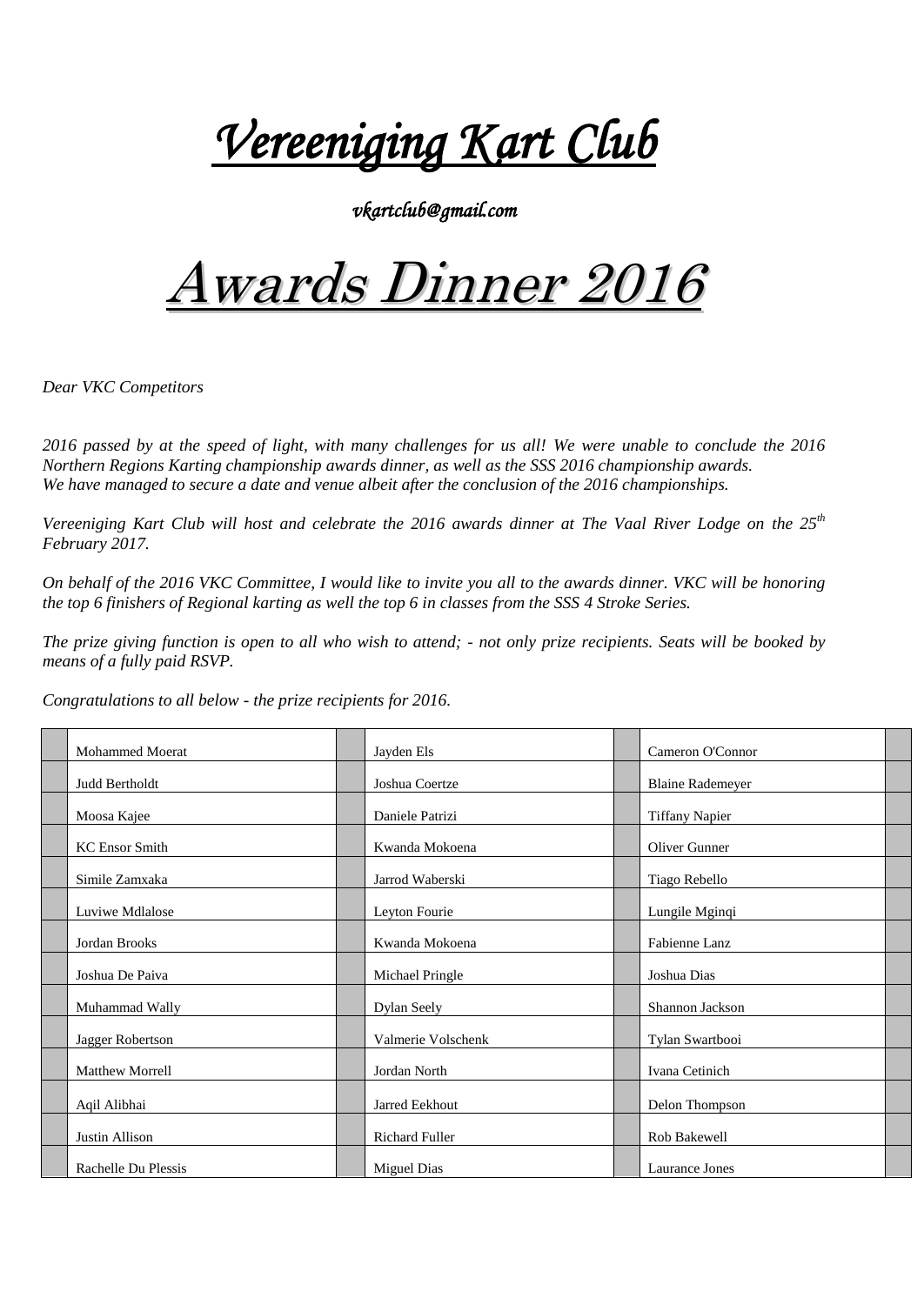*Vereeniging Kart Club*

*vkartclub@gmail.com* 

## Awards Dinner 2016

*Dear VKC Competitors*

*2016 passed by at the speed of light, with many challenges for us all! We were unable to conclude the 2016 Northern Regions Karting championship awards dinner, as well as the SSS 2016 championship awards. We have managed to secure a date and venue albeit after the conclusion of the 2016 championships.*

*Vereeniging Kart Club will host and celebrate the 2016 awards dinner at The Vaal River Lodge on the 25th February 2017.*

*On behalf of the 2016 VKC Committee, I would like to invite you all to the awards dinner. VKC will be honoring the top 6 finishers of Regional karting as well the top 6 in classes from the SSS 4 Stroke Series.*

*The prize giving function is open to all who wish to attend; - not only prize recipients. Seats will be booked by means of a fully paid RSVP.* 

*Congratulations to all below - the prize recipients for 2016.*

| <b>Mohammed Moerat</b> | Jayden Els         | Cameron O'Connor        |  |
|------------------------|--------------------|-------------------------|--|
| Judd Bertholdt         | Joshua Coertze     | <b>Blaine Rademeyer</b> |  |
| Moosa Kajee            | Daniele Patrizi    | <b>Tiffany Napier</b>   |  |
| <b>KC</b> Ensor Smith  | Kwanda Mokoena     | Oliver Gunner           |  |
| Simile Zamxaka         | Jarrod Waberski    | Tiago Rebello           |  |
| Luviwe Mdlalose        | Leyton Fourie      | Lungile Mginqi          |  |
| Jordan Brooks          | Kwanda Mokoena     | Fabienne Lanz           |  |
| Joshua De Paiva        | Michael Pringle    | Joshua Dias             |  |
| Muhammad Wally         | Dylan Seely        | Shannon Jackson         |  |
| Jagger Robertson       | Valmerie Volschenk | Tylan Swartbooi         |  |
| <b>Matthew Morrell</b> | Jordan North       | Ivana Cetinich          |  |
| Aqil Alibhai           | Jarred Eekhout     | Delon Thompson          |  |
| Justin Allison         | Richard Fuller     | Rob Bakewell            |  |
| Rachelle Du Plessis    | <b>Miguel Dias</b> | Laurance Jones          |  |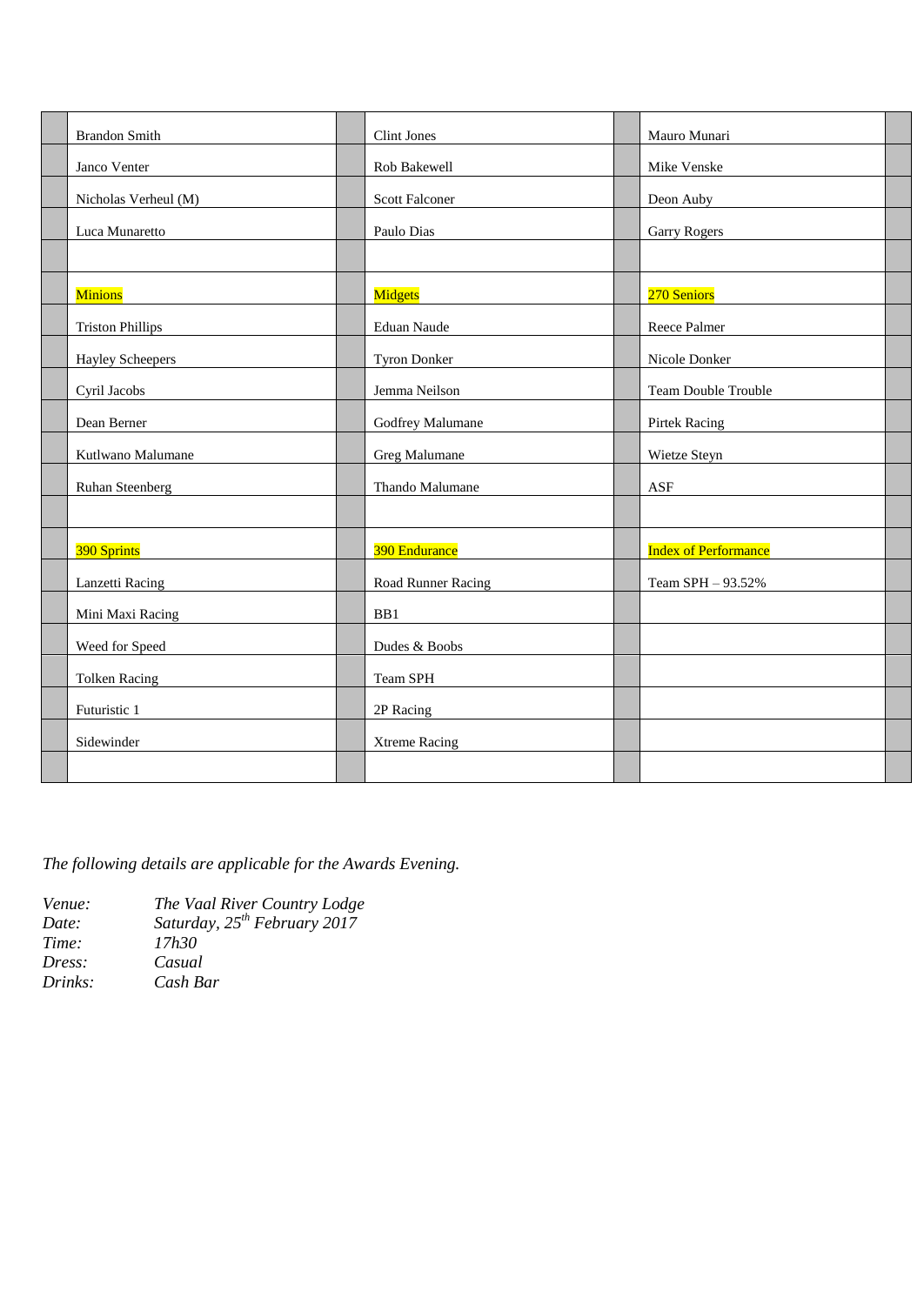| <b>Brandon Smith</b>    | <b>Clint Jones</b>    | Mauro Munari                |  |
|-------------------------|-----------------------|-----------------------------|--|
| Janco Venter            | Rob Bakewell          | Mike Venske                 |  |
| Nicholas Verheul (M)    | <b>Scott Falconer</b> | Deon Auby                   |  |
| Luca Munaretto          | Paulo Dias            | <b>Garry Rogers</b>         |  |
|                         |                       |                             |  |
| <b>Minions</b>          | Midgets               | 270 Seniors                 |  |
| <b>Triston Phillips</b> | Eduan Naude           | Reece Palmer                |  |
| <b>Hayley Scheepers</b> | <b>Tyron Donker</b>   | Nicole Donker               |  |
| Cyril Jacobs            | Jemma Neilson         | <b>Team Double Trouble</b>  |  |
| Dean Berner             | Godfrey Malumane      | <b>Pirtek Racing</b>        |  |
| Kutlwano Malumane       | Greg Malumane         | Wietze Steyn                |  |
| Ruhan Steenberg         | Thando Malumane       | ASF                         |  |
|                         |                       |                             |  |
| 390 Sprints             | 390 Endurance         | <b>Index of Performance</b> |  |
| Lanzetti Racing         | Road Runner Racing    | Team SPH - 93.52%           |  |
| Mini Maxi Racing        | BB1                   |                             |  |
| Weed for Speed          | Dudes & Boobs         |                             |  |
| <b>Tolken Racing</b>    | Team SPH              |                             |  |
| Futuristic 1            | 2P Racing             |                             |  |
| Sidewinder              | <b>Xtreme Racing</b>  |                             |  |
|                         |                       |                             |  |

*The following details are applicable for the Awards Evening.*

| Venue:  | The Vaal River Country Lodge      |
|---------|-----------------------------------|
| Date:   | Saturday, $25^{th}$ February 2017 |
| Time:   | 17h30                             |
| Dress:  | Casual                            |
| Drinks: | Cash Bar                          |